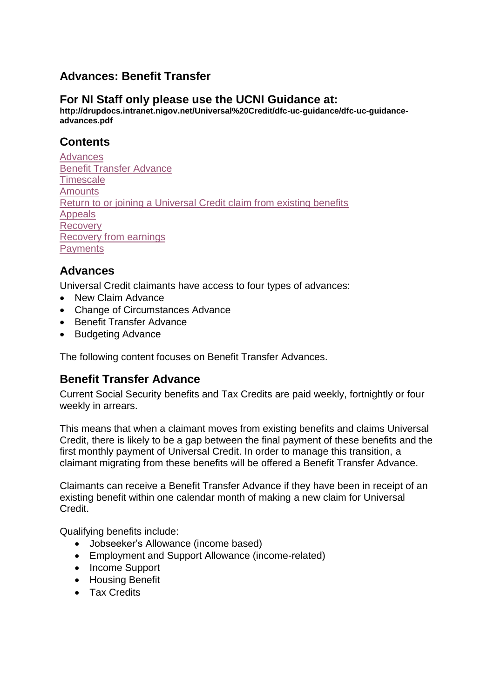# **Advances: Benefit Transfer**

#### **For NI Staff only please use the UCNI Guidance at:**

**http://drupdocs.intranet.nigov.net/Universal%20Credit/dfc-uc-guidance/dfc-uc-guidanceadvances.pdf**

## **Contents**

**[Advances](#page-0-0)** [Benefit Transfer Advance](#page-0-1) **[Timescale](#page-1-0) [Amounts](#page-1-1)** [Return to or joining a Universal Credit claim from existing benefits](#page-2-0) [Appeals](#page-2-1) [Recovery](#page-2-2) [Recovery from earnings](#page-3-0) **[Payments](#page-3-1)** 

## <span id="page-0-0"></span>**Advances**

Universal Credit claimants have access to four types of advances:

- New Claim Advance
- Change of Circumstances Advance
- Benefit Transfer Advance
- Budgeting Advance

The following content focuses on Benefit Transfer Advances.

## <span id="page-0-1"></span>**Benefit Transfer Advance**

Current Social Security benefits and Tax Credits are paid weekly, fortnightly or four weekly in arrears.

This means that when a claimant moves from existing benefits and claims Universal Credit, there is likely to be a gap between the final payment of these benefits and the first monthly payment of Universal Credit. In order to manage this transition, a claimant migrating from these benefits will be offered a Benefit Transfer Advance.

Claimants can receive a Benefit Transfer Advance if they have been in receipt of an existing benefit within one calendar month of making a new claim for Universal Credit.

Qualifying benefits include:

- Jobseeker's Allowance (income based)
- Employment and Support Allowance (income-related)
- Income Support
- **•** Housing Benefit
- Tax Credits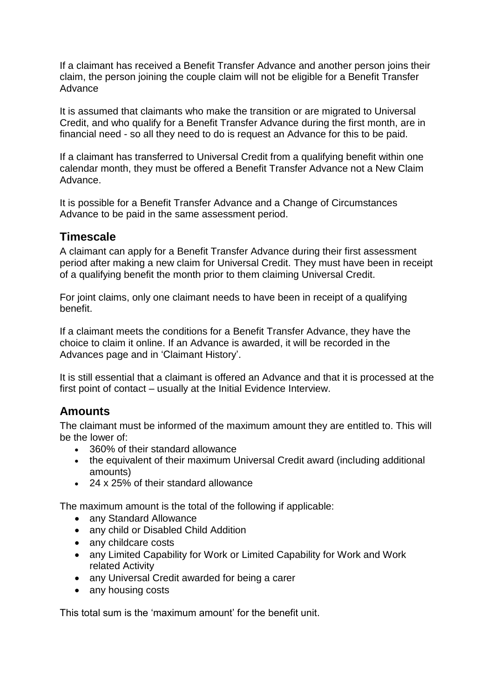If a claimant has received a Benefit Transfer Advance and another person joins their claim, the person joining the couple claim will not be eligible for a Benefit Transfer Advance

It is assumed that claimants who make the transition or are migrated to Universal Credit, and who qualify for a Benefit Transfer Advance during the first month, are in financial need - so all they need to do is request an Advance for this to be paid.

If a claimant has transferred to Universal Credit from a qualifying benefit within one calendar month, they must be offered a Benefit Transfer Advance not a New Claim Advance.

It is possible for a Benefit Transfer Advance and a Change of Circumstances Advance to be paid in the same assessment period.

#### <span id="page-1-0"></span>**Timescale**

A claimant can apply for a Benefit Transfer Advance during their first assessment period after making a new claim for Universal Credit. They must have been in receipt of a qualifying benefit the month prior to them claiming Universal Credit.

For joint claims, only one claimant needs to have been in receipt of a qualifying benefit.

If a claimant meets the conditions for a Benefit Transfer Advance, they have the choice to claim it online. If an Advance is awarded, it will be recorded in the Advances page and in 'Claimant History'.

It is still essential that a claimant is offered an Advance and that it is processed at the first point of contact – usually at the Initial Evidence Interview.

## <span id="page-1-1"></span>**Amounts**

The claimant must be informed of the maximum amount they are entitled to. This will be the lower of:

- 360% of their standard allowance
- the equivalent of their maximum Universal Credit award (including additional amounts)
- 24 x 25% of their standard allowance

The maximum amount is the total of the following if applicable:

- any Standard Allowance
- any child or Disabled Child Addition
- any childcare costs
- any Limited Capability for Work or Limited Capability for Work and Work related Activity
- any Universal Credit awarded for being a carer
- any housing costs

This total sum is the 'maximum amount' for the benefit unit.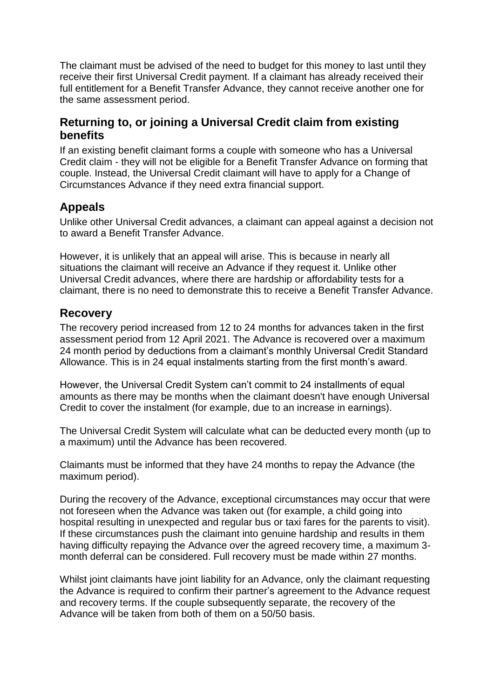The claimant must be advised of the need to budget for this money to last until they receive their first Universal Credit payment. If a claimant has already received their full entitlement for a Benefit Transfer Advance, they cannot receive another one for the same assessment period.

#### <span id="page-2-0"></span>**Returning to, or joining a Universal Credit claim from existing benefits**

If an existing benefit claimant forms a couple with someone who has a Universal Credit claim - they will not be eligible for a Benefit Transfer Advance on forming that couple. Instead, the Universal Credit claimant will have to apply for a Change of Circumstances Advance if they need extra financial support.

## <span id="page-2-1"></span>**Appeals**

Unlike other Universal Credit advances, a claimant can appeal against a decision not to award a Benefit Transfer Advance.

However, it is unlikely that an appeal will arise. This is because in nearly all situations the claimant will receive an Advance if they request it. Unlike other Universal Credit advances, where there are hardship or affordability tests for a claimant, there is no need to demonstrate this to receive a Benefit Transfer Advance.

## <span id="page-2-2"></span>**Recovery**

The recovery period increased from 12 to 24 months for advances taken in the first assessment period from 12 April 2021. The Advance is recovered over a maximum 24 month period by deductions from a claimant's monthly Universal Credit Standard Allowance. This is in 24 equal instalments starting from the first month's award.

However, the Universal Credit System can't commit to 24 installments of equal amounts as there may be months when the claimant doesn't have enough Universal Credit to cover the instalment (for example, due to an increase in earnings).

The Universal Credit System will calculate what can be deducted every month (up to a maximum) until the Advance has been recovered.

Claimants must be informed that they have 24 months to repay the Advance (the maximum period).

During the recovery of the Advance, exceptional circumstances may occur that were not foreseen when the Advance was taken out (for example, a child going into hospital resulting in unexpected and regular bus or taxi fares for the parents to visit). If these circumstances push the claimant into genuine hardship and results in them having difficulty repaying the Advance over the agreed recovery time, a maximum 3 month deferral can be considered. Full recovery must be made within 27 months.

Whilst joint claimants have joint liability for an Advance, only the claimant requesting the Advance is required to confirm their partner's agreement to the Advance request and recovery terms. If the couple subsequently separate, the recovery of the Advance will be taken from both of them on a 50/50 basis.